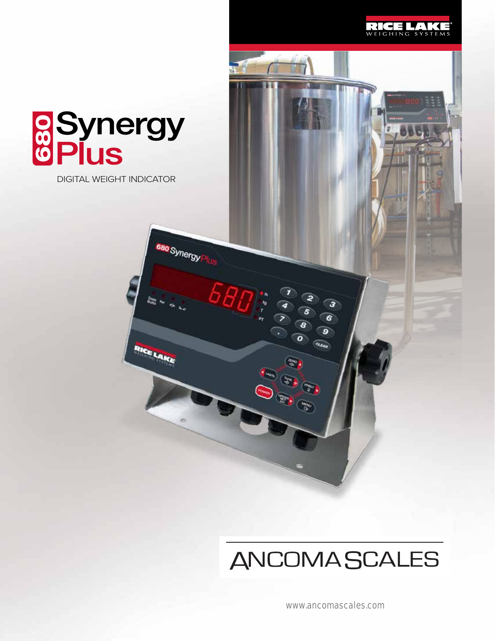

# **aSynergy**<br> **GPlus**

DIGITAL WEIGHT INDICATOR

680 Synergy

RICELAKE

## **ANCOMASCALES**

 $\bullet$ 

www.ancomascales.com